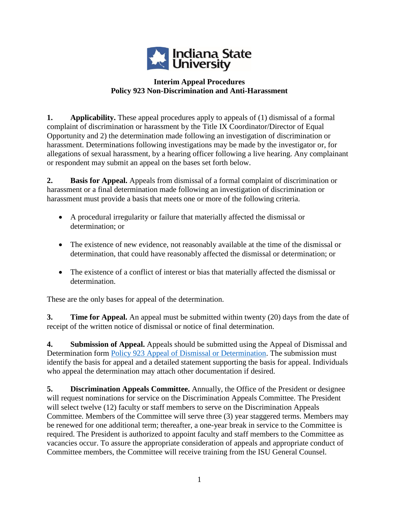

## **Interim Appeal Procedures Policy 923 Non-Discrimination and Anti-Harassment**

**1. Applicability.** These appeal procedures apply to appeals of (1) dismissal of a formal complaint of discrimination or harassment by the Title IX Coordinator/Director of Equal Opportunity and 2) the determination made following an investigation of discrimination or harassment. Determinations following investigations may be made by the investigator or, for allegations of sexual harassment, by a hearing officer following a live hearing. Any complainant or respondent may submit an appeal on the bases set forth below.

**2. Basis for Appeal.** Appeals from dismissal of a formal complaint of discrimination or harassment or a final determination made following an investigation of discrimination or harassment must provide a basis that meets one or more of the following criteria.

- A procedural irregularity or failure that materially affected the dismissal or determination; or
- The existence of new evidence, not reasonably available at the time of the dismissal or determination, that could have reasonably affected the dismissal or determination; or
- The existence of a conflict of interest or bias that materially affected the dismissal or determination.

These are the only bases for appeal of the determination.

**3. Time for Appeal.** An appeal must be submitted within twenty (20) days from the date of receipt of the written notice of dismissal or notice of final determination.

**4. Submission of Appeal.** Appeals should be submitted using the Appeal of Dismissal and Determination form [Policy 923 Appeal of Dismissal or Determination.](Policy%20923%20Appeal%20of%20Dismissal%20or%20Determination) The submission must identify the basis for appeal and a detailed statement supporting the basis for appeal. Individuals who appeal the determination may attach other documentation if desired.

**5. Discrimination Appeals Committee.** Annually, the Office of the President or designee will request nominations for service on the Discrimination Appeals Committee. The President will select twelve (12) faculty or staff members to serve on the Discrimination Appeals Committee. Members of the Committee will serve three (3) year staggered terms. Members may be renewed for one additional term; thereafter, a one-year break in service to the Committee is required. The President is authorized to appoint faculty and staff members to the Committee as vacancies occur. To assure the appropriate consideration of appeals and appropriate conduct of Committee members, the Committee will receive training from the ISU General Counsel.